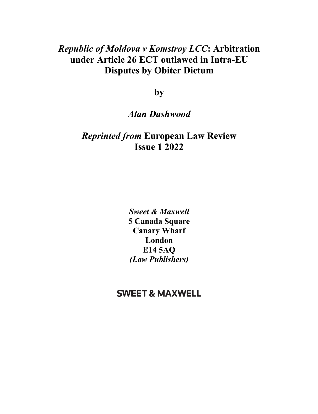## *Republic of Moldova v Komstroy LCC***: Arbitration under Article 26 ECT outlawed in Intra-EU Disputes by Obiter Dictum**

**by** 

## *Alan Dashwood*

## *Reprinted from* **European Law Review Issue 1 2022**

*Sweet & Maxwell*  **5 Canada Square Canary Wharf London E14 5AQ** *(Law Publishers)* 

## **SWEET & MAXWELL**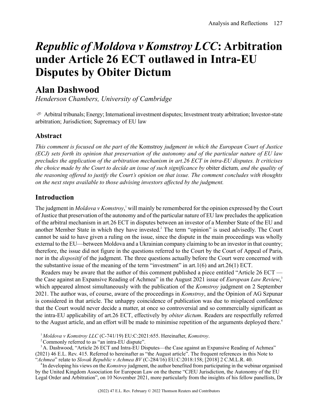# *Republic of Moldova v Komstroy LCC***: Arbitration under Article 26 ECT outlawed in Intra-EU Disputes by Obiter Dictum**

## **Alan Dashwood**

*Henderson Chambers, University of Cambridge*

 $\sigma$  Arbitral tribunals; Energy; International investment disputes; Investment treaty arbitration; Investor-state arbitration; Jurisdiction; Supremacy of EU law

## **Abstract**

*This comment is focused on the part of the* Komstroy *judgment in which the European Court of Justice (ECJ) sets forth its opinion that preservation of the autonomy and of the particular nature of EU law precludes the application of the arbitration mechanism in art.26 ECT in intra-EU disputes. It criticises the choice made by the Court to decide an issue of such significance by* obiter dictum*, and the quality of the reasoning offered to justify the Court's opinion on that issue. The comment concludes with thoughts on the next steps available to those advising investors affected by the judgment.*

## **Introduction**

The judgment in *Moldova v Komstroy*, <sup>1</sup> will mainly be remembered for the opinion expressed by the Court of Justice that preservation of the autonomy and of the particular nature of EU law precludes the application of the arbitral mechanism in art.26 ECT in disputes between an investor of a Member State of the EU and another Member State in which they have invested.<sup>2</sup> The term "opinion" is used advisedly. The Court cannot be said to have given a ruling on the issue, since the dispute in the main proceedings was wholly external to the EU—between Moldova and a Ukrainian company claiming to be an investor in that country; therefore, the issue did not figure in the questions referred to the Court by the Court of Appeal of Paris, nor in the *dispositif* of the judgment. The three questions actually before the Court were concerned with the substantive issue of the meaning of the term "investment" in art.1(6) and art.26(1) ECT.

Readers may be aware that the author of this comment published a piece entitled "Article 26 ECT the Case against an Expansive Reading of Achmea" in the August 2021 issue of *European Law Review*, 3 which appeared almost simultaneously with the publication of the *Komstroy* judgment on 2 September 2021. The author was, of course, aware of the proceedings in *Komstroy*, and the Opinion of AG Szpunar is considered in that article. The unhappy coincidence of publication was due to misplaced confidence that the Court would never decide a matter, at once so controversial and so commercially significant as the intra-EU applicability of art.26 ECT, effectively by *obiter dictum*. Readers are respectfully referred to the August article, and an effort will be made to minimise repetition of the arguments deployed there.<sup>4</sup>

<sup>1</sup> *Moldova v Komstroy LLC* (C-741/19) EU:C:2021:655. Hereinafter, *Komstroy*.

<sup>2</sup> Commonly referred to as "an intra-EU dispute".

<sup>3</sup>A. Dashwood, "Article 26 ECT and Intra-EU Disputes—the Case against an Expansive Reading of Achmea" (2021) 46 E.L. Rev. 415. Referred to hereinafter as "the August article". The frequent references in this Note to "*Achmea*" relate to *Slovak Republic v Achmea BV* (C-284/16) EU:C:2018:158; [2018] 2 C.M.L.R. 40.

4 In developing his views on the *Komstroy* judgment, the author benefited from participating in the webinar organised by the United Kingdom Association for European Law on the theme "CJEU Jurisdiction, the Autonomy of the EU Legal Order and Arbitration", on 10 November 2021, more particularly from the insights of his fellow panellists, Dr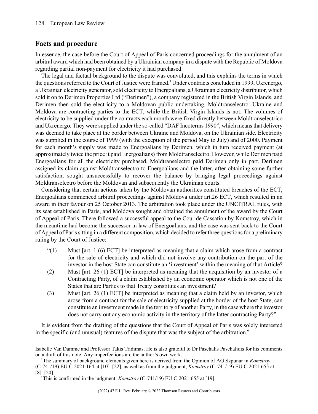## **Facts and procedure**

In essence, the case before the Court of Appeal of Paris concerned proceedings for the annulment of an arbitral award which had been obtained by a Ukrainian company in a dispute with the Republic of Moldova regarding partial non-payment for electricity it had purchased.

The legal and factual background to the dispute was convoluted, and this explains the terms in which the questions referred to the Court of Justice were framed.<sup>5</sup> Under contracts concluded in 1999, Ukrenergo, a Ukrainian electricity generator, sold electricity to Energoalians, a Ukrainian electricity distributor, which sold it on to Derimen Properties Ltd ("Derimen"), a company registered in the British Virgin Islands, and Derimen then sold the electricity to a Moldovan public undertaking, Moldtranselectro. Ukraine and Moldova are contracting parties to the ECT, while the British Virgin Islands is not. The volumes of electricity to be supplied under the contracts each month were fixed directly between Moldtranselectrico and Ukrenergo. They were supplied under the so-called "DAF Incoterms 1990", which means that delivery was deemed to take place at the border between Ukraine and Moldova, on the Ukrainian side. Electricity was supplied in the course of 1999 (with the exception of the period May to July) and of 2000. Payment for each month's supply was made to Energoalians by Derimen, which in turn received payment (at approximately twice the price it paid Energoalians) from Moldtranselectro. However, while Derimen paid Energoalians for all the electricity purchased, Moldtranselectro paid Derimen only in part. Derimen assigned its claim against Moldtranselectro to Energoalians and the latter, after obtaining some further satisfaction, sought unsuccessfully to recover the balance by bringing legal proceedings against Moldtranselectro before the Moldovan and subsequently the Ukrainian courts.

Considering that certain actions taken by the Moldovan authorities constituted breaches of the ECT, Energoalians commenced arbitral proceedings against Moldova under art.26 ECT, which resulted in an award in their favour on 25 October 2013. The arbitration took place under the UNCITRAL rules, with its seat established in Paris, and Moldova sought and obtained the annulment of the award by the Court of Appeal of Paris. There followed a successful appeal to the Cour de Cassation by Komstroy, which in the meantime had become the successor in law of Energoalians, and the case was sent back to the Court of Appeal of Paris sitting in a different composition, which decided to refer three questions for a preliminary ruling by the Court of Justice:

- $(1)$  Must [art. 1 (6) ECT] be interpreted as meaning that a claim which arose from a contract for the sale of electricity and which did not involve any contribution on the part of the investor in the host State can constitute an 'investment' within the meaning of that Article?
- (2) Must [art. 26 (1) ECT] be interpreted as meaning that the acquisition by an investor of a Contracting Party, of a claim established by an economic operator which is not one of the States that are Parties to that Treaty constitutes an investment?
- (3) Must [art. 26 (1) ECT] be interpreted as meaning that a claim held by an investor, which arose from a contract for the sale of electricity supplied at the border of the host State, can constitute an investment made in the territory of another Party, in the case where the investor does not carry out any economic activity in the territory of the latter contracting Party?"

It is evident from the drafting of the questions that the Court of Appeal of Paris was solely interested in the specific (and unusual) features of the dispute that was the subject of the arbitration.<sup>6</sup>

Isabelle Van Damme and Professor Takis Tridimas. He is also grateful to Dr Paschalis Paschalidis for his comments on a draft of this note. Any imperfections are the author's own work.

<sup>5</sup>The summary of background elements given here is derived from the Opinion of AG Szpunar in *Komstroy* (C-741/19) EU:C:2021:164 at [10]–[22], as well as from the judgment, *Komstroy* (C-741/19) EU:C:2021:655 at [8]–[20].

This is confirmed in the judgment: *Komstroy* (C-741/19) EU:C:2021:655 at [19].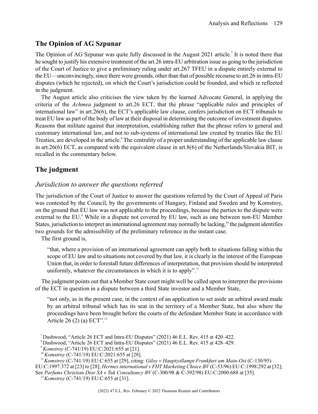## **The Opinion of AG Szpunar**

The Opinion of AG Szpunar was quite fully discussed in the August 2021 article.<sup>7</sup> It is noted there that he sought to justify his extensive treatment of the art.26 intra-EU arbitration issue as going to the jurisdiction of the Court of Justice to give a preliminary ruling under art.267 TFEU in a dispute entirely external to the EU—unconvincingly, since there were grounds, other than that of possible recourse to art.26 in intra-EU disputes (which he rejected), on which the Court's jurisdiction could be founded, and which re reflected in the judgment.

The August article also criticises the view taken by the learned Advocate General, in applying the criteria of the *Achmea* judgment to art.26 ECT, that the phrase "applicable rules and principles of international law" in art.26(6), the ECT's applicable law clause, confers jurisdiction on ECT tribunals to treat EU law as part of the body of law at their disposal in determining the outcome of investment disputes. Reasons that militate against that interpretation, establishing rather that the phrase refers to general and customary international law, and not to sub-systems of international law created by treaties like the EU Treaties, are developed in the article.<sup>8</sup> The centrality of a proper understanding of the applicable law clause in art.26(6) ECT, as compared with the equivalent clause in art.8(6) of the Netherlands/Slovakia BIT, is recalled in the commentary below.

## **The judgment**

### *Jurisdiction to answer the questions referred*

The jurisdiction of the Court of Justice to answer the questions referred by the Court of Appeal of Paris was contested by the Council, by the governments of Hungary, Finland and Sweden and by Komstroy, on the ground that EU law was not applicable to the proceedings, because the parties to the dispute were external to the EU.<sup>9</sup> While in a dispute not covered by EU law, such as one between non-EU Member States, jurisdiction to interpret an international agreement may normally be lacking,<sup>10</sup> the judgment identifies two grounds for the admissibility of the preliminary reference in the instant case.

The first ground is,

"that, where a provision of an international agreement can apply both to situations falling within the scope of EU law and to situations not covered by that law, it is clearly in the interest of the European Union that, in order to forestall future differences of interpretation, that provision should be interpreted uniformly, whatever the circumstances in which it is to apply".<sup>11</sup>

The judgment points out that a Member State court might well be called upon to interpret the provisions of the ECT in question in a dispute between a third State investor and a Member State,

"not only, as in the present case, in the context of an application to set aside an arbitral award made by an arbitral tribunal which has its seat in the territory of a Member State, but also where the proceedings have been brought before the courts of the defendant Member State in accordance with Article 26 (2) (a)  $ECT$ ".<sup>12</sup>

<sup>7</sup>Dashwood, "Article 26 ECT and Intra-EU Disputes" (2021) 46 E.L. Rev. 415 at 420–422.

<sup>8</sup>Dashwood, "Article 26 ECT and Intra-EU Disputes" (2021) 46 E.L. Rev. 415 at 428–429.

<sup>9</sup>*Komstroy* (C-741/19) EU:C:2021:655 at [21].

<sup>10</sup>*Komstroy* (C-741/19) EU:C:2021:655 at [28].

<sup>11</sup>*Komstroy* (C-741/19) EU:C:655 at [29], citing: *Giloy v Hauptzollampt Frankfurt am Main-Ost* (C-130/95)

EU:C:1997:372 at [23] to [28]; *Hermes international v FHT Marketing Choice BV* (C-53/96) EU:C:1998:292 at [32];

See *Parfums Christian Dior SA v Tuk Consultancy BV* (C-300/98 & C-392/98) EU:C:2000:688 at [35].

<sup>12</sup>*Komstroy* (C-741/19) EU:C:655 at [31].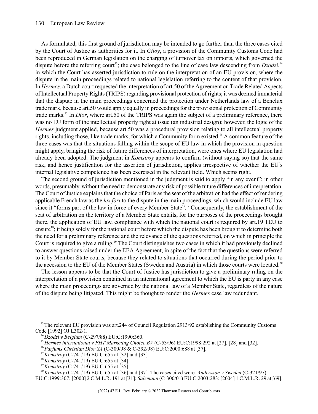#### 130 European Law Review

As formulated, this first ground of jurisdiction may be intended to go further than the three cases cited by the Court of Justice as authorities for it. In *Giloy*, a provision of the Community Customs Code had been reproduced in German legislation on the charging of turnover tax on imports, which governed the dispute before the referring court<sup>13</sup>; the case belonged to the line of case law descending from  $Dzodzi$ ,<sup>14</sup> in which the Court has asserted jurisdiction to rule on the interpretation of an EU provision, where the dispute in the main proceedings related to national legislation referring to the content of that provision. In *Hermes*, a Dutch court requested the interpretation of art.50 of the Agreement on Trade Related Aspects of IntellectualProperty Rights(TRIPS) regarding provisional protection of rights; it was deemed immaterial that the dispute in the main proceedings concerned the protection under Netherlands law of a Benelux trade mark, because art.50 would apply equally in proceedingsfor the provisional protection of Community trade marks.<sup>15</sup> In *Dior*, where art.50 of the TRIPS was again the subject of a preliminary reference, there was no EU form of the intellectual property right at issue (an industrial design); however, the logic of the *Hermes* judgment applied, because art.50 was a procedural provision relating to all intellectual property rights, including those, like trade marks, for which a Community form existed.<sup>16</sup> A common feature of the three cases was that the situations falling within the scope of EU law in which the provision in question might apply, bringing the risk of future differences of interpretation, were ones where EU legislation had already been adopted. The judgment in *Komstroy* appears to confirm (without saying so) that the same risk, and hence justification for the assertion of jurisdiction, applies irrespective of whether the EU's internal legislative competence has been exercised in the relevant field. Which seems right.

The second ground of jurisdiction mentioned in the judgment is said to apply "in any event"; in other words, presumably, without the need to demonstrate any risk of possible future differences of interpretation. The Court of Justice explains that the choice of Paris as the seat of the arbitration had the effect of rendering applicable French law as the *lex fori* to the dispute in the main proceedings, which would include EU law since it "forms part of the law in force of every Member State".<sup>17</sup> Consequently, the establishment of the seat of arbitration on the territory of a Member State entails, for the purposes of the proceedings brought there, the application of EU law, compliance with which the national court is required by art.19 TEU to ensure<sup>18</sup>; it being solely for the national court before which the dispute has been brought to determine both the need for a preliminary reference and the relevance of the questions referred, on which in principle the Court is required to give a ruling.<sup>19</sup> The Court distinguishes two cases in which it had previously declined to answer questions raised under the EEA Agreement, in spite of the fact that the questions were referred to it by Member State courts, because they related to situations that occurred during the period prior to the accession to the EU of the Member States (Sweden and Austria) in which those courts were located.<sup>20</sup>

The lesson appears to be that the Court of Justice has jurisdiction to give a preliminary ruling on the interpretation of a provision contained in an international agreement to which the EU is party in any case where the main proceedings are governed by the national law of a Member State, regardless of the nature of the dispute being litigated. This might be thought to render the *Hermes* case law redundant.

<sup>13</sup>The relevant EU provision was art.244 of Council Regulation 2913/92 establishing the Community Customs Code [1992] OJ L302/1.

- <sup>17</sup> *Komstrov* (C-741/19) EU:C:655 at [32] and [33].
- <sup>18</sup>*Komstroy* (C-741/19) EU:C:655 at [34].
- <sup>19</sup>*Komstroy* (C-741/19) EU:C:655 at [35].

<sup>20</sup>*Komstroy* (C-741/19) EU:C:655 at [36] and [37]. The cases cited were: *Andersson v Sweden* (C-321/97) EU:C:1999:307; [2000] 2 C.M.L.R. 191 at [31]; *Salzmann* (C-300/01) EU:C:2003:283; [2004] 1 C.M.L.R. 29 at [69].

<sup>14</sup>*Dzodzi v Belgium* (C-297/88) EU:C:1990:360.

<sup>15</sup>*Hermes international v FHT Marketing Choice BV* (C-53/96) EU:C:1998:292 at [27], [28] and [32].

<sup>16</sup>*Parfums Christian Dior SA* (C-300/98 & C-392/98) EU:C:2000:688 at [37].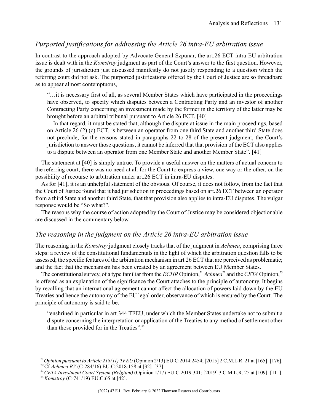## *Purported justifications for addressing the Article 26 intra-EU arbitration issue*

In contrast to the approach adopted by Advocate General Szpunar, the art.26 ECT intra-EU arbitration issue is dealt with in the *Komstroy* judgment as part of the Court's answer to the first question. However, the grounds of jurisdiction just discussed manifestly do not justify responding to a question which the referring court did not ask. The purported justifications offered by the Court of Justice are so threadbare as to appear almost contemptuous,

"…it is necessary first of all, as several Member States which have participated in the proceedings have observed, to specify which disputes between a Contracting Party and an investor of another Contracting Party concerning an investment made by the former in the territory of the latter may be brought before an arbitral tribunal pursuant to Article 26 ECT. [40]

In that regard, it must be stated that, although the dispute at issue in the main proceedings, based on Article 26 (2) (c) ECT, is between an operator from one third State and another third State does not preclude, for the reasons stated in paragraphs 22 to 28 of the present judgment, the Court's jurisdiction to answer those questions, it cannot be inferred that that provision of the ECT also applies to a dispute between an operator from one Member State and another Member State". [41]

The statement at [40] is simply untrue. To provide a useful answer on the matters of actual concern to the referring court, there was no need at all for the Court to express a view, one way or the other, on the possibility of recourse to arbitration under art.26 ECT in intra-EU disputes.

As for [41], it is an unhelpful statement of the obvious. Of course, it does not follow, from the fact that the Court of Justice found that it had jurisdiction in proceedings based on art.26 ECT between an operator from a third State and another third State, that that provision also applies to intra-EU disputes. The vulgar response would be "So what?".

The reasons why the course of action adopted by the Court of Justice may be considered objectionable are discussed in the commentary below.

### *The reasoning in the judgment on the Article 26 intra-EU arbitration issue*

The reasoning in the *Komstroy* judgment closely tracks that of the judgment in *Achmea*, comprising three steps: a review of the constitutional fundamentals in the light of which the arbitration question falls to be assessed; the specific features of the arbitration mechanism in art.26 ECT that are perceived as problematic; and the fact that the mechanism has been created by an agreement between EU Member States.

The constitutional survey, of a type familiar from the *ECHR* Opinion,<sup>21</sup> *Achmea*<sup>22</sup> and the *CETA* Opinion,<sup>23</sup> is offered as an explanation of the significance the Court attaches to the principle of autonomy. It begins by recalling that an international agreement cannot affect the allocation of powers laid down by the EU Treaties and hence the autonomy of the EU legal order, observance of which is ensured by the Court. The principle of autonomy is said to be,

"enshrined in particular in art.344 TFEU, under which the Member States undertake not to submit a dispute concerning the interpretation or application of the Treaties to any method of settlement other than those provided for in the Treaties".<sup>24</sup>

<sup>21</sup>*Opinion pursuant to Article 218(11) TFEU* (Opinion 2/13) EU:C:2014:2454; [2015] 2 C.M.L.R. 21 at [165]–[176]. <sup>22</sup>Cf *Achmea BV* (C-284/16) EU:C:2018:158 at [32]–[37].

<sup>23</sup>*CETA Investment Court System (Belgium)* (Opinion 1/17) EU:C:2019:341; [2019] 3 C.M.L.R. 25 at [109]–[111].

<sup>24</sup>*Komstroy* (C-741/19) EU:C:65 at [42].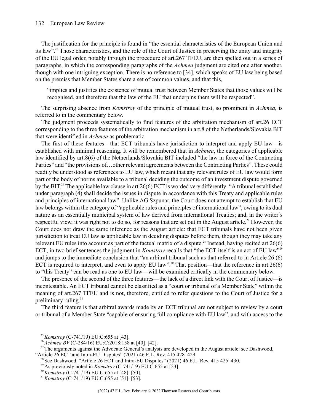#### 132 European Law Review

The justification for the principle is found in "the essential characteristics of the European Union and its law".<sup>25</sup> Those characteristics, and the role of the Court of Justice in preserving the unity and integrity of the EU legal order, notably through the procedure of art.267 TFEU, are then spelled out in a series of paragraphs, in which the corresponding paragraphs of the *Achmea* judgment are cited one after another, though with one intriguing exception. There is no reference to [34], which speaks of EU law being based on the premiss that Member States share a set of common values, and that this,

"implies and justifies the existence of mutual trust between Member States that those values will be recognised, and therefore that the law of the EU that underpins them will be respected".

The surprising absence from *Komstroy* of the principle of mutual trust, so prominent in *Achmea*, is referred to in the commentary below.

The judgment proceeds systematically to find features of the arbitration mechanism of art.26 ECT corresponding to the three features of the arbitration mechanism in art.8 of the Netherlands/Slovakia BIT that were identified in *Achmea* as problematic.

The first of these features—that ECT tribunals have jurisdiction to interpret and apply EU law—is established with minimal reasoning. It will be remembered that in *Achmea*, the categories of applicable law identified by art.8(6) of the Netherlands/Slovakia BIT included "the law in force of the Contracting Parties" and "the provisions of... other relevant agreements between the Contracting Parties". These could readily be understood as references to EU law, which meant that any relevant rules of EU law would form part of the body of norms available to a tribunal deciding the outcome of an investment dispute governed by the BIT. <sup>26</sup> The applicable law clause in art.26(6) ECT is worded very differently: "A tribunal established under paragraph (4) shall decide the issues in dispute in accordance with this Treaty and applicable rules and principles of international law". Unlike AG Szpunar, the Court does not attempt to establish that EU law belongs within the category of "applicable rules and principles of international law", owing to its dual nature as an essentially municipal system of law derived from international Treaties; and, in the writer's respectful view, it was right not to do so, for reasons that are set out in the August article.<sup>27</sup> However, the Court does not draw the same inference as the August article: that ECT tribunals have not been given jurisdiction to treat EU law as applicable law in deciding disputes before them, though they may take any relevant EU rules into account as part of the factual matrix of a dispute.<sup>28</sup> Instead, having recited art.26(6) ECT, in two brief sentences the judgment in *Komstroy* recalls that "the ECT itself is an act of EU law"<sup>29</sup> and jumps to the immediate conclusion that "an arbitral tribunal such as that referred to in Article 26 (6) ECT is required to interpret, and even to apply EU law".<sup>30</sup> That position—that the reference in art.26(6) to "this Treaty" can be read as one to EU law—will be examined critically in the commentary below.

The presence of the second of the three features—the lack of a direct link with the Court of Justice—is incontestable. An ECT tribunal cannot be classified as a "court or tribunal of a Member State" within the meaning of art.267 TFEU and is not, therefore, entitled to refer questions to the Court of Justice for a preliminary ruling. $31$ 

The third feature is that arbitral awards made by an ECT tribunal are not subject to review by a court or tribunal of a Member State "capable of ensuring full compliance with EU law", and with access to the

<sup>29</sup> As previously noted in *Komstroy* (C-741/19) EU:C:655 at [23].

<sup>25</sup>*Komstroy* (C-741/19) EU:C:655 at [43].

<sup>26</sup>*Achmea BV* (C-284/16) EU:C:2018:158 at [40]–[42].

<sup>&</sup>lt;sup>27</sup>The arguments against the Advocate General's analysis are developed in the August article: see Dashwood, "Article 26 ECT and Intra-EU Disputes" (2021) 46 E.L. Rev. 415 428–429.

<sup>&</sup>lt;sup>28</sup> See Dashwood, "Article 26 ECT and Intra-EU Disputes" (2021) 46 E.L. Rev. 415 425–430.

<sup>30</sup>*Komstroy* (C-741/19) EU:C:655 at [48]–[50].

<sup>31</sup>*Komstroy* (C-741/19) EU:C:655 at [51]–[53].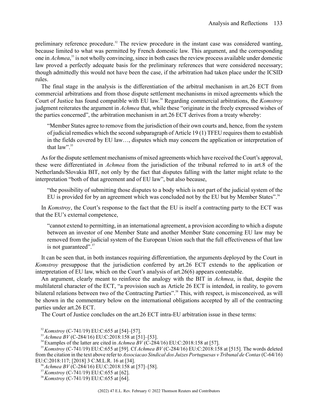preliminary reference procedure.<sup>32</sup> The review procedure in the instant case was considered wanting, because limited to what was permitted by French domestic law. This argument, and the corresponding one in *Achmea*, <sup>33</sup> is not wholly convincing, since in both cases the review process available under domestic law proved a perfectly adequate basis for the preliminary references that were considered necessary; though admittedly this would not have been the case, if the arbitration had taken place under the ICSID rules.

The final stage in the analysis is the differentiation of the arbitral mechanism in art.26 ECT from commercial arbitrations and from those dispute settlement mechanisms in mixed agreements which the Court of Justice has found compatible with EU law. <sup>34</sup> Regarding commercial arbitrations, the *Komstroy* judgment reiterates the argument in *Achmea* that, while these "originate in the freely expressed wishes of the parties concerned", the arbitration mechanism in art.26 ECT derives from a treaty whereby:

"Member States agree to remove from the jurisdiction of their own courts and, hence, from the system of judicial remedies which the second subparagraph of Article 19  $(1)$  TFEU requires them to establish in the fields covered by EU law…, disputes which may concern the application or interpretation of that law"<sup>35</sup>

Asfor the dispute settlement mechanisms of mixed agreements which have received the Court's approval, these were differentiated in *Achmea* from the jurisdiction of the tribunal referred to in art.8 of the Netherlands/Slovakia BIT, not only by the fact that disputes falling with the latter might relate to the interpretation "both of that agreement and of EU law", but also because,

"the possibility of submitting those disputes to a body which is not part of the judicial system of the EU is provided for by an agreement which was concluded not by the EU but by Member States".<sup>36</sup>

In *Komstroy*, the Court's response to the fact that the EU is itself a contracting party to the ECT was that the EU's external competence,

"cannot extend to permitting, in an international agreement, a provision according to which a dispute between an investor of one Member State and another Member State concerning EU law may be removed from the judicial system of the European Union such that the full effectiveness of that law is not guaranteed".<sup>37</sup>

It can be seen that, in both instances requiring differentiation, the arguments deployed by the Court in *Komstroy* presuppose that the jurisdiction conferred by art.26 ECT extends to the application or interpretation of EU law, which on the Court's analysis of art.26(6) appears contestable.

An argument, clearly meant to reinforce the analogy with the BIT in *Achmea*, is that, despite the multilateral character of the ECT, "a provision such as Article 26 ECT is intended, in reality, to govern bilateral relations between two of the Contracting Parties".<sup>38</sup> This, with respect, is misconceived, as will be shown in the commentary below on the international obligations accepted by all of the contracting parties under art.26 ECT.

The Court of Justice concludes on the art.26 ECT intra-EU arbitration issue in these terms:

<sup>32</sup>*Komstroy* (C-741/19) EU:C:655 at [54]–[57].

<sup>33</sup>*Achmea BV* (C-284/16) EU:C:2018:158 at [51]–[53].

<sup>&</sup>lt;sup>34</sup> Examples of the latter are cited in *Achmea BV* (C-284/16) EU:C:2018:158 at [57].

<sup>35</sup>*Komstroy* (C-741/19) EU:C:655 at [59]. Cf *Achmea BV* (C-284/16) EU:C:2018:158 at [515]. The words deleted from the citation in the text above refer to *Associacao Sindical dos Juizes Portuguesas v Tribunal de Contas*(C-64/16) EU:C:2018:117; [2018] 3 C.M.L.R. 16 at [34].

<sup>36</sup>*Achmea BV* (C-284/16) EU:C:2018:158 at [57]–[58].

<sup>37</sup>*Komstroy* (C-741/19) EU:C:655 at [62].

<sup>38</sup>*Komstroy* (C-741/19) EU:C:655 at [64].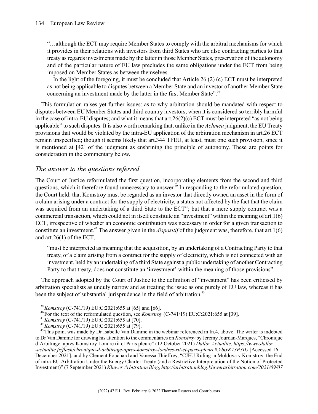"…although the ECT may require Member States to comply with the arbitral mechanisms for which it provides in their relations with investors from third States who are also contracting parties to that treaty as regards investments made by the latter in those Member States, preservation of the autonomy and of the particular nature of EU law precludes the same obligations under the ECT from being imposed on Member States as between themselves.

In the light of the foregoing, it must be concluded that Article 26 (2) (c) ECT must be interpreted as not being applicable to disputes between a MemberState and an investor of another MemberState concerning an investment made by the latter in the first Member State".<sup>39</sup>

This formulation raises yet further issues: as to why arbitration should be mandated with respect to disputes between EU Member States and third country investors, when it is considered so terribly harmful in the case of intra-EU disputes; and what it means that art.  $26(2)(c)$  ECT must be interpreted "as not being applicable" to such disputes. It is also worth remarking that, unlike in the *Achmea* judgment, the EU Treaty provisions that would be violated by the intra-EU application of the arbitration mechanism in art.26 ECT remain unspecified; though it seems likely that art.344 TFEU, at least, must one such provision, since it is mentioned at [42] of the judgment as enshrining the principle of autonomy. These are points for consideration in the commentary below.

## *The answer to the questions referred*

The Court of Justice reformulated the first question, incorporating elements from the second and third questions, which it therefore found unnecessary to answer. <sup>40</sup> In responding to the reformulated question, the Court held: that Komstroy must be regarded as an investor that directly owned an asset in the form of a claim arising under a contract for the supply of electricity, a status not affected by the fact that the claim was acquired from an undertaking of a third State to the  $ECT<sup>41</sup>$ ; but that a mere supply contract was a commercial transaction, which could not in itself constitute an "investment" within the meaning of art.1(6) ECT, irrespective of whether an economic contribution was necessary in order for a given transaction to constitute an investment.<sup>42</sup> The answer given in the *dispositif* of the judgment was, therefore, that art.1(6) and art.26(1) of the ECT,

"must be interpreted as meaning that the acquisition, by an undertaking of a Contracting Party to that treaty, of a claim arising from a contract for the supply of electricity, which is not connected with an investment, held by an undertaking of a third State against a public undertaking of another Contracting Party to that treaty, does not constitute an 'investment' within the meaning of those provisions".

The approach adopted by the Court of Justice to the definition of "investment" has been criticised by arbitration specialists as unduly narrow and as treating the issue as one purely of EU law, whereas it has been the subject of substantial jurisprudence in the field of arbitration.<sup>43</sup>

<sup>43</sup>This point was made by Dr Isabelle Van Damme in the webinar referenced in fn.4, above. The writer is indebted to Dr Van Damme for drawing his attention to the commentaries on *Komstroy* by Jeremy Jourdan-Marques, "Chronique d'Arbitrage: apres Komstroy Londre rit et Paris pleure" (12 October 2021) *Dalloz Actualite*, *https://www.dalloz -actualite.fr/flash/chronique-d-arbitrage-apres-komstroy-londres-rit-et-paris-pleure#.YbtxK73P3IU* [Accessed 16 December 2021]; and by Clement Fouchard and Vanessa Thieffrey, "CJEU Ruling in Moldova v Komstroy: the End of intra-EU Arbitration Under the Energy Charter Treaty (and a Restrictive Interpretation of the Notion of Protected Investment)" (7 September 2021) *Kluwer Arbitration Blog*, *http://arbitrationblog.kluwerarbitration.com/2021/09/07*

<sup>39</sup>*Komstroy* (C-741/19) EU:C:2021:655 at [65] and [66].

<sup>40</sup>For the text of the reformulated question, see *Komstroy* (C-741/19) EU:C:2021:655 at [39].

<sup>41</sup>*Komstroy* (C-741/19) EU:C:2021:655 at [70].

<sup>42</sup>*Komstroy* (C-741/19) EU:C:2021:655 at [79].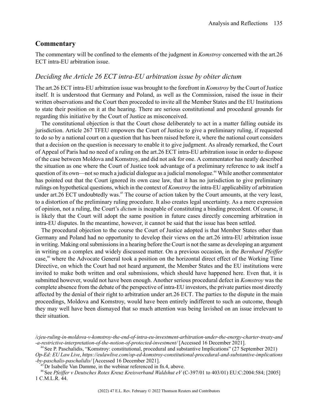### **Commentary**

The commentary will be confined to the elements of the judgment in *Komstroy* concerned with the art.26 ECT intra-EU arbitration issue.

### *Deciding the Article 26 ECT intra-EU arbitration issue by obiter dictum*

The art.26 ECT intra-EU arbitration issue was brought to the forefront in *Komstroy* by the Court of Justice itself. It is understood that Germany and Poland, as well as the Commission, raised the issue in their written observations and the Court then proceeded to invite all the Member States and the EU Institutions to state their position on it at the hearing. There are serious constitutional and procedural grounds for regarding this initiative by the Court of Justice as misconceived.

The constitutional objection is that the Court chose deliberately to act in a matter falling outside its jurisdiction. Article 267 TFEU empowers the Court of Justice to give a preliminary ruling, if requested to do so by a national court on a question that has been raised before it, where the national court considers that a decision on the question is necessary to enable it to give judgment. As already remarked, the Court of Appeal of Paris had no need of a ruling on the art.26 ECT intra-EU arbitration issue in order to dispose of the case between Moldova and Komstroy, and did not ask for one. A commentator has neatly described the situation as one where the Court of Justice took advantage of a preliminary reference to ask itself a question of its own—not so much a judicial dialogue as a judicial monologue.<sup>44</sup> While another commentator has pointed out that the Court ignored its own case law, that it has no jurisdiction to give preliminary rulings on hypothetical questions, which in the context of *Komstroy* the intra-EU applicability of arbitration under art.26 ECT undoubtedly was.<sup>45</sup> The course of action taken by the Court amounts, at the very least, to a distortion of the preliminary ruling procedure. It also creates legal uncertainty. As a mere expression of opinion, not a ruling, the Court's *dictum* is incapable of constituting a binding precedent. Of course, it is likely that the Court will adopt the same position in future cases directly concerning arbitration in intra-EU disputes. In the meantime, however, it cannot be said that the issue has been settled.

The procedural objection to the course the Court of Justice adopted is that Member States other than Germany and Poland had no opportunity to develop their views on the art.26 intra-EU arbitration issue in writing. Making oral submissions in a hearing before the Court is not the same as developing an argument in writing on a complex and widely discussed matter. On a previous occasion, in the *Bernhard Pfeiffer* case,<sup>46</sup> where the Advocate General took a position on the horizontal direct effect of the Working Time Directive, on which the Court had not heard argument, the Member States and the EU institutions were invited to make both written and oral submissions, which should have happened here. Even that, it is submitted however, would not have been enough. Another serious procedural defect in *Komstroy* was the complete absence from the debate of the perspective of intra-EU investors, the private parties most directly affected by the denial of their right to arbitration under art.26 ECT. The parties to the dispute in the main proceedings, Moldova and Komstroy, would have been entirely indifferent to such an outcome, though they may well have been dismayed that so much attention was being lavished on an issue irrelevant to their situation.

*<sup>/</sup>cjeu-ruling-in-moldova-v-komstroy-the-end-of-intra-eu-investment-arbitration-under-the-energy-charter-treaty-and -a-restrictive-interpretation-of-the-notion-of-protected-investment/* [Accessed 16 December 2021].

<sup>&</sup>lt;sup>44</sup> See P. Paschalidis, "Komstroy: constitutional, procedural and substantive Implications" (27 September 2021) *Op-Ed: EU Law Live*, *https://eulawlive.com/op-ed-komstroy-constitutional-procedural-and-substantive-implications -by-paschalis-paschalidis/* [Accessed 16 December 2021].

Dr Isabelle Van Damme, in the webinar referenced in fn.4, above.

<sup>46</sup>See *Pfeiffer v Deutsches Rotes Kreuz Kreisverband Waldshut eV* (C-397/01 to 403/01) EU:C:2004:584; [2005] 1 C.M.L.R. 44.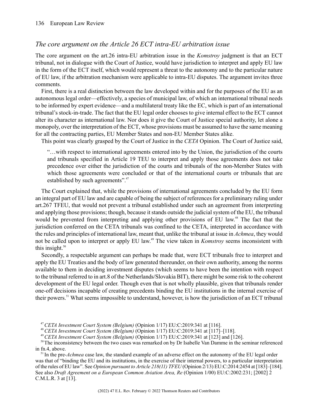## *The core argument on the Article 26 ECT intra-EU arbitration issue*

The core argument on the art.26 intra-EU arbitration issue in the *Komstroy* judgment is that an ECT tribunal, not in dialogue with the Court of Justice, would have jurisdiction to interpret and apply EU law in the form of the ECT itself, which would represent a threat to the autonomy and to the particular nature of EU law, if the arbitration mechanism were applicable to intra-EU disputes. The argument invites three comments.

First, there is a real distinction between the law developed within and for the purposes of the EU as an autonomous legal order—effectively, a species of municipal law, of which an international tribunal needs to be informed by expert evidence—and a multilateral treaty like the EC, which is part of an international tribunal's stock-in-trade. The fact that the EU legal order chooses to give internal effect to the ECT cannot alter its character as international law. Nor does it give the Court of Justice special authority, let alone a monopoly, over the interpretation of the ECT, whose provisions must be assumed to have the same meaning for all the contracting parties, EU Member States and non-EU Member States alike.

This point was clearly grasped by the Court of Justice in the *CETA* Opinion. The Court of Justice said,

"…with respect to international agreements entered into by the Union, the jurisdiction of the courts and tribunals specified in Article 19 TEU to interpret and apply those agreements does not take precedence over either the jurisdiction of the courts and tribunals of the non-Member States with which those agreements were concluded or that of the international courts or tribunals that are established by such agreements".<sup>47</sup>

The Court explained that, while the provisions of international agreements concluded by the EU form an integral part of EU law and are capable of being the subject of references for a preliminary ruling under art.267 TFEU, that would not prevent a tribunal established under such an agreement from interpreting and applying those provisions; though, because it stands outside the judicial system of the EU, the tribunal would be prevented from interpreting and applying other provisions of EU law.<sup>48</sup> The fact that the jurisdiction conferred on the CETA tribunals was confined to the CETA, interpreted in accordance with the rules and principles of international law, meant that, unlike the tribunal at issue in *Achmea*, they would not be called upon to interpret or apply EU law. <sup>49</sup> The view taken in *Komstroy* seems inconsistent with this insight. $50$ 

Secondly, a respectable argument can perhaps be made that, were ECT tribunals free to interpret and apply the EU Treaties and the body of law generated thereunder, on their own authority, among the norms available to them in deciding investment disputes (which seems to have been the intention with respect to the tribunal referred to in art.8 of the Netherlands/Slovakia BIT), there might be some risk to the coherent development of the EU legal order. Though even that is not wholly plausible, given that tribunals render one-off decisions incapable of creating precedents binding the EU institutions in the internal exercise of their powers.<sup>51</sup> What seems impossible to understand, however, is how the jurisdiction of an ECT tribunal

<sup>47</sup>*CETA Investment Court System (Belgium)* (Opinion 1/17) EU:C:2019:341 at [116].

<sup>48</sup>*CETA Investment Court System (Belgium)* (Opinion 1/17) EU:C:2019:341 at [117]–[118].

<sup>49</sup>*CETA Investment Court System (Belgium)* (Opinion 1/17) EU:C:2019:341 at [123] and [126].

<sup>50</sup>The inconsistency between the two cases was remarked on by Dr Isabelle Van Damme in the seminar referenced in fn.4, above.

<sup>51</sup> In the pre-*Achmea* case law, the standard example of an adverse effect on the autonomy of the EU legal order was that of "binding the EU and its institutions, in the exercise of their internal powers, to a particular interpretation of the rules of EU law". See *Opinion pursuant to Article 218(11) TFEU* (Opinion 2/13) EU:C:2014:2454 at [183]–[184]. See also *Draft Agreement on a European Common Aviation Area, Re* (Opinion 1/00) EU:C:2002:231; [2002] 2 C.M.L.R. 3 at [13].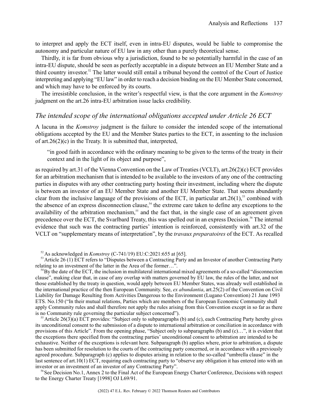to interpret and apply the ECT itself, even in intra-EU disputes, would be liable to compromise the autonomy and particular nature of EU law in any other than a purely theoretical sense.

Thirdly, it is far from obvious why a jurisdiction, found to be so potentially harmful in the case of an intra-EU dispute, should be seen as perfectly acceptable in a dispute between an EU Member State and a third country investor. <sup>52</sup> The latter would still entail a tribunal beyond the control of the Court of Justice interpreting and applying "EU law" in order to reach a decision binding on the EU Member State concerned, and which may have to be enforced by its courts.

The irresistible conclusion, in the writer's respectful view, is that the core argument in the *Komstroy* judgment on the art.26 intra-EU arbitration issue lacks credibility.

### *The intended scope of the international obligations accepted under Article 26 ECT*

A lacuna in the *Komstroy* judgment is the failure to consider the intended scope of the international obligations accepted by the EU and the Member States parties to the ECT, in assenting to the inclusion of art.26(2)(c) in the Treaty. It is submitted that, interpreted,

"in good faith in accordance with the ordinary meaning to be given to the terms of the treaty in their context and in the light of its object and purpose",

as required by art.31 of the Vienna Convention on the Law of Treaties (VCLT), art.26(2)(c) ECT provides for an arbitration mechanism that is intended to be available to the investors of any one of the contracting parties in disputes with any other contracting party hosting their investment, including where the dispute is between an investor of an EU Member State and another EU Member State. That seems abundantly clear from the inclusive language of the provisions of the ECT, in particular art.  $26(1)$ ,<sup>53</sup> combined with the absence of an express disconnection clause,<sup>54</sup> the extreme care taken to define any exceptions to the availability of the arbitration mechanism,<sup>55</sup> and the fact that, in the single case of an agreement given precedence over the ECT, the Svarlbard Treaty, this was spelled out in an express Decision.<sup>56</sup> The internal evidence that such was the contracting parties' intention is reinforced, consistently with art.32 of the VCLT on "supplementary means of interpretation", by the *travaux preparatoires* of the ECT. As recalled

<sup>52</sup>As acknowledged in *Komstroy* (C-741/19) EU:C:2021:655 at [65].

<sup>53</sup> Article 26 (1) ECT refers to "Disputes between a Contracting Party and an Investor of another Contracting Party relating to an investment of the latter in the Area of the former…".

 $<sup>54</sup>$ By the date of the ECT, the inclusion in multilateral international mixed agreements of a so-called "disconnection"</sup> clause", making clear that, in case of any overlap with matters governed by EU law, the rules of the latter, and not those established by the treaty in question, would apply between EU Member States, was already well established in the international practice of the then European Community. See, *ex abundantia*, art.25(2) of the Convention on Civil Liability for Damage Resulting from Activities Dangerous to the Environment (Lugano Convention) 21 June 1993 ETS. No.150 ("In their mutual relations, Parties which are members of the European Economic Community shall apply Community rules and shall therefore not apply the rules arising from this Convention except in so far as there is no Community rule governing the particular subject concerned").

Article 26(3)(a) ECT provides: "Subject only to subparagraphs (b) and (c), each Contracting Party hereby gives its unconditional consent to the submission of a dispute to international arbitration or conciliation in accordance with provisions of this Article". From the opening phase, "Subject only to subparagraphs (b) and (c)…", it is evident that the exceptions there specified from the contracting parties' unconditional consent to arbitration are intended to be exhaustive. Neither of the exceptions is relevant here. Subparagraph (b) applies where, prior to arbitration, a dispute has been submitted for resolution to the courts of the contracting party concerned, or in accordance with a previously agreed procedure. Subparagraph (c) applies to disputes arising in relation to the so-called "umbrella clause" in the last sentence of art.10(1) ECT, requiring each contracting party to "observe any obligation it has entered into with an investor or an investment of an investor of any Contracting Party".

<sup>56</sup>See Decision No.1, Annex 2 to the Final Act of the European Energy Charter Conference, Decisions with respect to the Energy Charter Treaty [1998] OJ L69/91.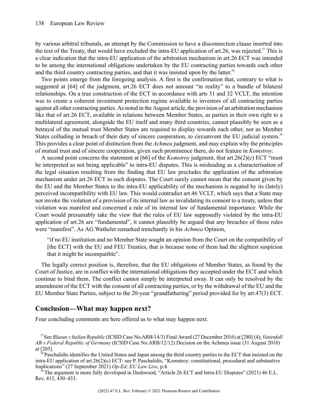by various arbitral tribunals, an attempt by the Commission to have a disconnection clause inserted into the text of the Treaty, that would have excluded the intra-EU application of art.26, was rejected.<sup>57</sup> This is a clear indication that the intra-EU application of the arbitration mechanism in art.26 ECT was intended to be among the international obligations undertaken by the EU contracting parties towards each other and the third country contracting parties, and that it was insisted upon by the latter.<sup>58</sup>

Two points emerge from the foregoing analysis. A first is the confirmation that, contrary to what is suggested at [64] of the judgment, art.26 ECT does not amount "in reality" to a bundle of bilateral relationships. On a true construction of the ECT in accordance with arts 31 and 32 VCLT, the intention was to create a coherent investment protection regime available to investors of all contracting parties against all other contracting parties. As noted in the August article, the provision of an arbitration mechanism like that of art.26 ECT, available in relations between Member States, as parties in their own right to a multilateral agreement, alongside the EU itself and many third countries, cannot plausibly be seen as a betrayal of the mutual trust Member States are required to display towards each other, nor as Member States colluding in breach of their duty of sincere cooperation, to circumvent the EU judicial system.<sup>59</sup> This provides a clear point of distinction from the *Achmea* judgment, and may explain why the principles of mutual trust and of sincere cooperation, given such prominence there, do not feature in *Komstroy*.

A second point concerns the statement at [66] of the *Komstroy* judgment, that art.26(2)(c) ECT "must be interpreted as not being applicable" to intra-EU disputes. This is misleading as a characterisation of the legal situation resulting from the finding that EU law precludes the application of the arbitration mechanism under art.26 ECT in such disputes. The Court surely cannot mean that the consent given by the EU and the Member States to the intra-EU applicability of the mechanism is negated by its (lately) perceived incompatibility with EU law. This would contradict art.46 VCLT, which says that a State may not invoke the violation of a provision of its internal law as invalidating its consent to a treaty, unless that violation was manifest and concerned a rule of its internal law of fundamental importance. While the Court would presumably take the view that the rules of EU law supposedly violated by the intra-EU application of art.26 are "fundamental", it cannot plausibly be argued that any breaches of those rules were "manifest". As AG Wathelet remarked trenchantly in his *Achmea* Opinion,

"if no EU institution and no Member State sought an opinion from the Court on the compatibility of [the ECT] with the EU and FEU Treaties, that is because none of them had the slightest suspicion that it might be incompatible".

The legally correct position is, therefore, that the EU obligations of Member States, as found by the Court of Justice, are in conflict with the international obligations they accepted under the ECT and which continue to bind them. The conflict cannot simply be interpreted away. It can only be resolved by the amendment of the ECT with the consent of all contracting parties, or by the withdrawal of the EU and the EU Member State Parties, subject to the 20-year "grandfathering" period provided for by art.47(3) ECT.

## **Conclusion—What may happen next?**

Four concluding comments are here offered as to what may happen next.

<sup>57</sup>See *Blusun v Italian Republic* (ICSID Case No.ARB/14/3) Final Award (27 December 2016) at [280] (4); *Vattenfall AB v Federal Republic of Germany* (ICSID Case No.ARB/12/12) Decision on the Achmea issue (31 August 2018) at [205].

 ${}^8$ Paschalidis identifies the United States and Japan among the third country parties to the ECT that insisted on the intra-EU application of art.26(2)(c) ECT: see P. Paschalidis, "Komstroy: constitutional, procedural and substantive Implications" (27 September 2021) *Op-Ed: EU Law Live*, p.4.

<sup>59</sup>The argument is more fully developed in Dashwood, "Article 26 ECT and Intra-EU Disputes" (2021) 46 E.L. Rev. 415, 430–433.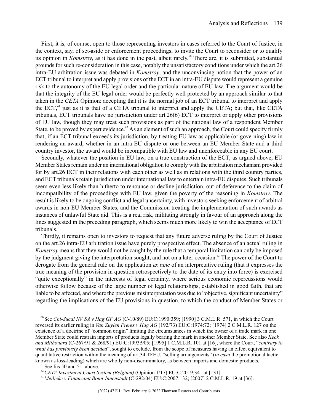First, it is, of course, open to those representing investors in cases referred to the Court of Justice, in the context, say, of set-aside or enforcement proceedings, to invite the Court to reconsider or to qualify its opinion in *Komstroy*, as it has done in the past, albeit rarely.<sup>60</sup> There are, it is submitted, substantial grounds for such re-consideration in this case, notably the unsatisfactory conditions under which the art.26 intra-EU arbitration issue was debated in *Komstroy*, and the unconvincing notion that the power of an ECT tribunal to interpret and apply provisions of the ECT in an intra-EU dispute would represent a genuine risk to the autonomy of the EU legal order and the particular nature of EU law. The argument would be that the integrity of the EU legal order would be perfectly well protected by an approach similar to that taken in the *CETA* Opinion: accepting that it is the normal job of an ECT tribunal to interpret and apply the ECT, <sup>61</sup> just as it is that of a CETA tribunal to interpret and apply the CETA; but that, like CETA tribunals, ECT tribunals have no jurisdiction under art.26(6) ECT to interpret or apply other provisions of EU law, though they may treat such provisions as part of the national law of a respondent Member State, to be proved by expert evidence.<sup>62</sup> As an element of such an approach, the Court could specify firmly that, if an ECT tribunal exceeds its jurisdiction, by treating EU law as applicable (or governing) law in rendering an award, whether in an intra-EU dispute or one between an EU Member State and a third country investor, the award would be incompatible with EU law and unenforceable in any EU court.

Secondly, whatever the position in EU law, on a true construction of the ECT, as argued above, EU Member States remain under an international obligation to comply with the arbitration mechanism provided for by art.26 ECT in their relations with each other as well as in relations with the third country parties, and ECT tribunals retain jurisdiction under international law to entertain intra-EU disputes. Such tribunals seem even less likely than hitherto to renounce or decline jurisdiction, out of deference to the claim of incompatibility of the proceedings with EU law, given the poverty of the reasoning in *Komstroy*. The result is likely to be ongoing conflict and legal uncertainty, with investors seeking enforcement of arbitral awards in non-EU Member States, and the Commission treating the implementation of such awards as instances of unlawful State aid. This is a real risk, militating strongly in favour of an approach along the lines suggested in the preceding paragraph, which seems much more likely to win the acceptance of ECT tribunals.

Thirdly, it remains open to investors to request that any future adverse ruling by the Court of Justice on the art.26 intra-EU arbitration issue have purely prospective effect. The absence of an actual ruling in *Komstroy* means that they would not be caught by the rule that a temporal limitation can only be imposed by the judgment giving the interpretation sought, and not on a later occasion.<sup>63</sup> The power of the Court to derogate from the general rule on the application *ex tunc* of an interpretative ruling (that it expresses the true meaning of the provision in question retrospectively to the date of its entry into force) is exercised "quite exceptionally" in the interests of legal certainty, where serious economic repercussions would otherwise follow because of the large number of legal relationships, established in good faith, that are liable to be affected, and where the previous misinterpretation was due to "objective, significant uncertainty" regarding the implications of the EU provisions in question, to which the conduct of Member States or

<sup>60</sup>See *Cnl-Sucal NV SA v Hag GF AG* (C-10/89) EU:C:1990:359; [1990] 3 C.M.L.R. 571, in which the Court reversed its earlier ruling in *Van Zuylen Freres v Hag AG* (192/73) EU:C:1974:72; [1974] 2 C.M.L.R. 127 on the existence of a doctrine of "common origin" limiting the circumstances in which the owner of a trade mark in one Member State could restrain imports of products legally bearing the mark in another Member State. See also *Keck and Mithouard* (C-267/91 & 268/91) EU:C:1993:905; [1995] 1 C.M.L.R. 101 at [16], where the Court, "*contrary to what has previously been decided*", sought to exclude, from the scope of measures having an effect equivalent to quantitative restriction within the meaning of art.34 TFEU, "selling arrangements" (*in casu* the promotional tactic known as loss-leading) which are wholly non-discriminatory, as between imports and domestic products.

<sup>62</sup>*CETA Investment Court System (Belgium)* (Opinion 1/17) EU:C:2019:341 at [131].

 $61$  See fns 50 and 51, above.

<sup>63</sup> *Meilicke v Finanzamt Bonn-Innenstadt* (C-292/04) EU:C:2007:132; [2007] 2 C.M.L.R. 19 at [36].